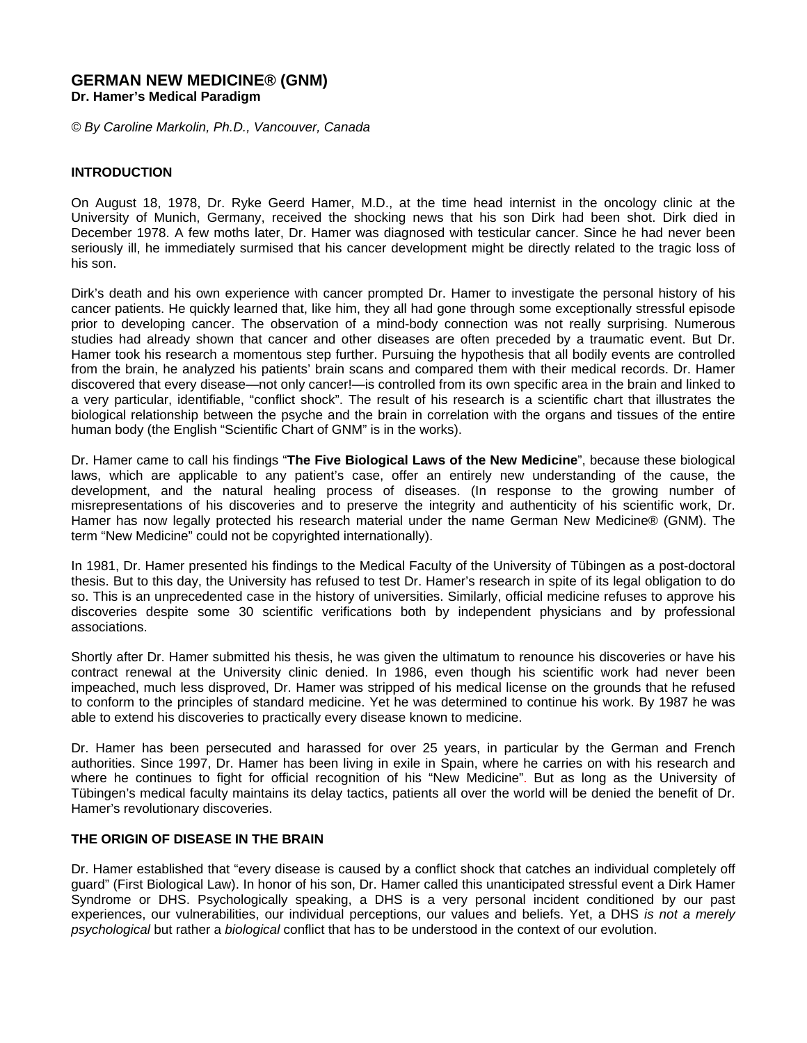# **GERMAN NEW MEDICINE® (GNM) Dr. Hamer's Medical Paradigm**

*© By Caroline Markolin, Ph.D., Vancouver, Canada* 

## **INTRODUCTION**

On August 18, 1978, Dr. Ryke Geerd Hamer, M.D., at the time head internist in the oncology clinic at the University of Munich, Germany, received the shocking news that his son Dirk had been shot. Dirk died in December 1978. A few moths later, Dr. Hamer was diagnosed with testicular cancer. Since he had never been seriously ill, he immediately surmised that his cancer development might be directly related to the tragic loss of his son.

Dirk's death and his own experience with cancer prompted Dr. Hamer to investigate the personal history of his cancer patients. He quickly learned that, like him, they all had gone through some exceptionally stressful episode prior to developing cancer. The observation of a mind-body connection was not really surprising. Numerous studies had already shown that cancer and other diseases are often preceded by a traumatic event. But Dr. Hamer took his research a momentous step further. Pursuing the hypothesis that all bodily events are controlled from the brain, he analyzed his patients' brain scans and compared them with their medical records. Dr. Hamer discovered that every disease—not only cancer!—is controlled from its own specific area in the brain and linked to a very particular, identifiable, "conflict shock". The result of his research is a scientific chart that illustrates the biological relationship between the psyche and the brain in correlation with the organs and tissues of the entire human body (the English "Scientific Chart of GNM" is in the works).

Dr. Hamer came to call his findings "**The Five Biological Laws of the New Medicine**", because these biological laws, which are applicable to any patient's case, offer an entirely new understanding of the cause, the development, and the natural healing process of diseases. (In response to the growing number of misrepresentations of his discoveries and to preserve the integrity and authenticity of his scientific work, Dr. Hamer has now legally protected his research material under the name German New Medicine® (GNM). The term "New Medicine" could not be copyrighted internationally).

In 1981, Dr. Hamer presented his findings to the Medical Faculty of the University of Tübingen as a post-doctoral thesis. But to this day, the University has refused to test Dr. Hamer's research in spite of its legal obligation to do so. This is an unprecedented case in the history of universities. Similarly, official medicine refuses to approve his discoveries despite some 30 scientific verifications both by independent physicians and by professional associations.

Shortly after Dr. Hamer submitted his thesis, he was given the ultimatum to renounce his discoveries or have his contract renewal at the University clinic denied. In 1986, even though his scientific work had never been impeached, much less disproved, Dr. Hamer was stripped of his medical license on the grounds that he refused to conform to the principles of standard medicine. Yet he was determined to continue his work. By 1987 he was able to extend his discoveries to practically every disease known to medicine.

Dr. Hamer has been persecuted and harassed for over 25 years, in particular by the German and French authorities. Since 1997, Dr. Hamer has been living in exile in Spain, where he carries on with his research and where he continues to fight for official recognition of his "New Medicine". But as long as the University of Tübingen's medical faculty maintains its delay tactics, patients all over the world will be denied the benefit of Dr. Hamer's revolutionary discoveries.

### **THE ORIGIN OF DISEASE IN THE BRAIN**

Dr. Hamer established that "every disease is caused by a conflict shock that catches an individual completely off guard" (First Biological Law). In honor of his son, Dr. Hamer called this unanticipated stressful event a Dirk Hamer Syndrome or DHS. Psychologically speaking, a DHS is a very personal incident conditioned by our past experiences, our vulnerabilities, our individual perceptions, our values and beliefs. Yet, a DHS *is not a merely psychological* but rather a *biological* conflict that has to be understood in the context of our evolution.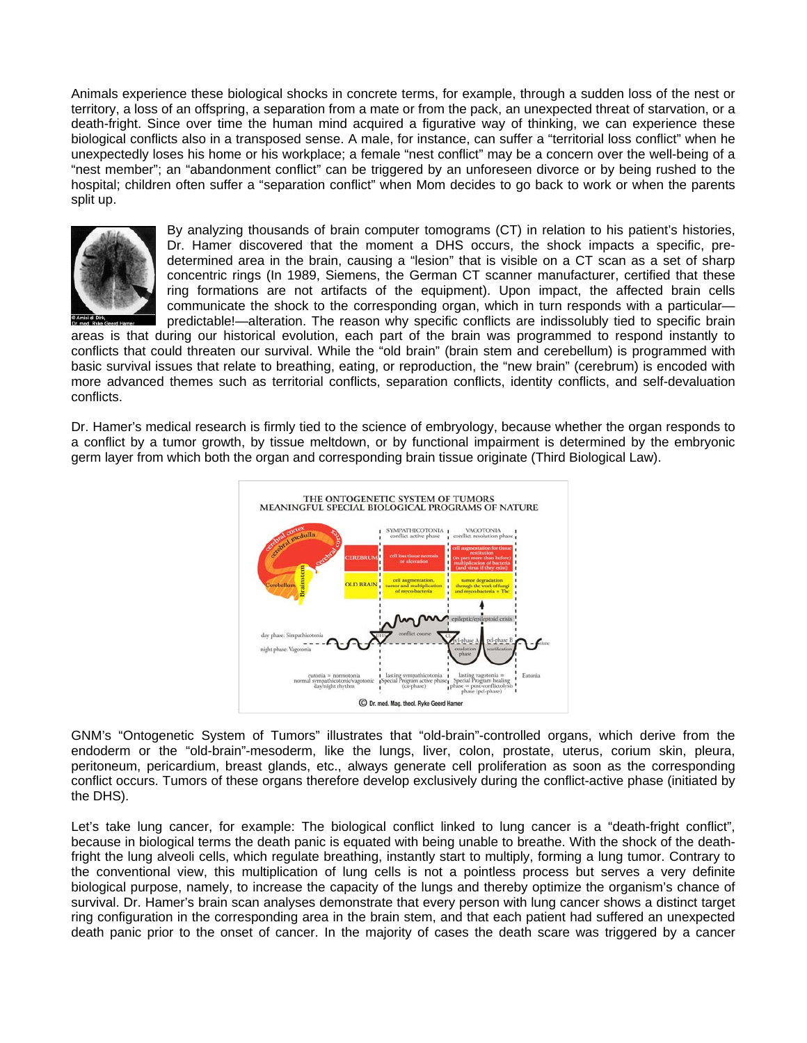Animals experience these biological shocks in concrete terms, for example, through a sudden loss of the nest or territory, a loss of an offspring, a separation from a mate or from the pack, an unexpected threat of starvation, or a death-fright. Since over time the human mind acquired a figurative way of thinking, we can experience these biological conflicts also in a transposed sense. A male, for instance, can suffer a "territorial loss conflict" when he unexpectedly loses his home or his workplace; a female "nest conflict" may be a concern over the well-being of a "nest member"; an "abandonment conflict" can be triggered by an unforeseen divorce or by being rushed to the hospital; children often suffer a "separation conflict" when Mom decides to go back to work or when the parents split up.



By analyzing thousands of brain computer tomograms (CT) in relation to his patient's histories, Dr. Hamer discovered that the moment a DHS occurs, the shock impacts a specific, predetermined area in the brain, causing a "lesion" that is visible on a CT scan as a set of sharp concentric rings (In 1989, Siemens, the German CT scanner manufacturer, certified that these ring formations are not artifacts of the equipment). Upon impact, the affected brain cells communicate the shock to the corresponding organ, which in turn responds with a particular predictable!—alteration. The reason why specific conflicts are indissolubly tied to specific brain

areas is that during our historical evolution, each part of the brain was programmed to respond instantly to conflicts that could threaten our survival. While the "old brain" (brain stem and cerebellum) is programmed with basic survival issues that relate to breathing, eating, or reproduction, the "new brain" (cerebrum) is encoded with more advanced themes such as territorial conflicts, separation conflicts, identity conflicts, and self-devaluation conflicts.

Dr. Hamer's medical research is firmly tied to the science of embryology, because whether the organ responds to a conflict by a tumor growth, by tissue meltdown, or by functional impairment is determined by the embryonic germ layer from which both the organ and corresponding brain tissue originate (Third Biological Law).



GNM's "Ontogenetic System of Tumors" illustrates that "old-brain"-controlled organs, which derive from the endoderm or the "old-brain"-mesoderm, like the lungs, liver, colon, prostate, uterus, corium skin, pleura, peritoneum, pericardium, breast glands, etc., always generate cell proliferation as soon as the corresponding conflict occurs. Tumors of these organs therefore develop exclusively during the conflict-active phase (initiated by the DHS).

Let's take lung cancer, for example: The biological conflict linked to lung cancer is a "death-fright conflict", because in biological terms the death panic is equated with being unable to breathe. With the shock of the deathfright the lung alveoli cells, which regulate breathing, instantly start to multiply, forming a lung tumor. Contrary to the conventional view, this multiplication of lung cells is not a pointless process but serves a very definite biological purpose, namely, to increase the capacity of the lungs and thereby optimize the organism's chance of survival. Dr. Hamer's brain scan analyses demonstrate that every person with lung cancer shows a distinct target ring configuration in the corresponding area in the brain stem, and that each patient had suffered an unexpected death panic prior to the onset of cancer. In the majority of cases the death scare was triggered by a cancer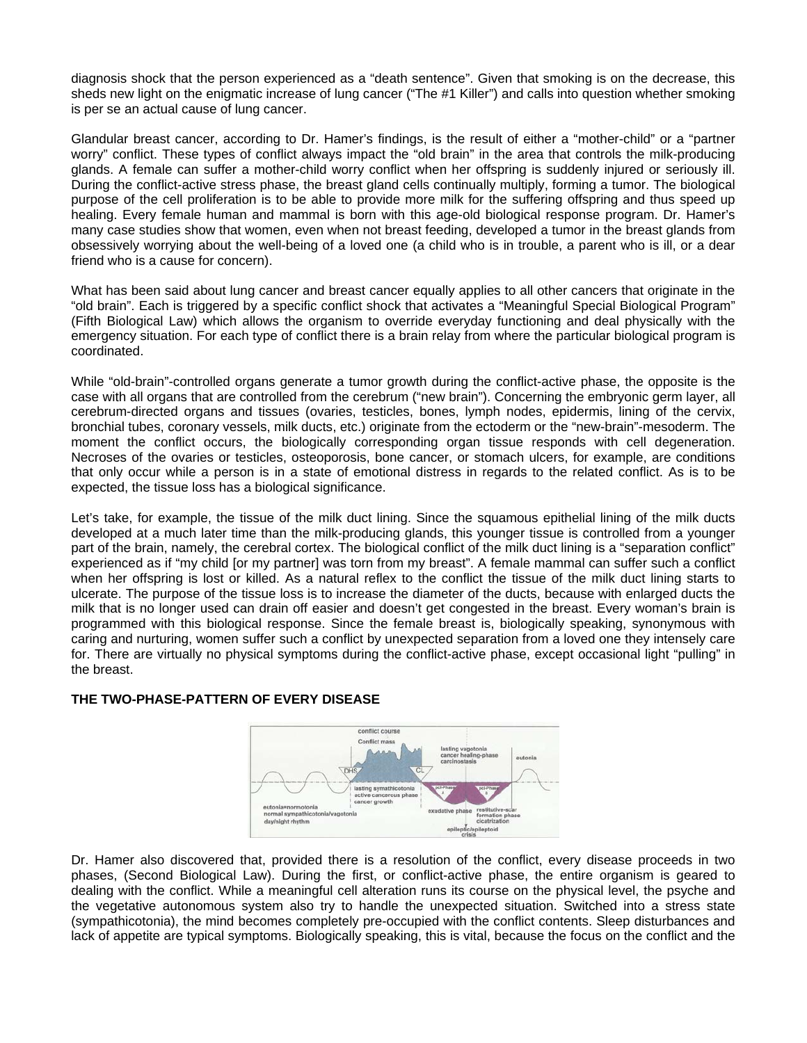diagnosis shock that the person experienced as a "death sentence". Given that smoking is on the decrease, this sheds new light on the enigmatic increase of lung cancer ("The #1 Killer") and calls into question whether smoking is per se an actual cause of lung cancer.

Glandular breast cancer, according to Dr. Hamer's findings, is the result of either a "mother-child" or a "partner worry" conflict. These types of conflict always impact the "old brain" in the area that controls the milk-producing glands. A female can suffer a mother-child worry conflict when her offspring is suddenly injured or seriously ill. During the conflict-active stress phase, the breast gland cells continually multiply, forming a tumor. The biological purpose of the cell proliferation is to be able to provide more milk for the suffering offspring and thus speed up healing. Every female human and mammal is born with this age-old biological response program. Dr. Hamer's many case studies show that women, even when not breast feeding, developed a tumor in the breast glands from obsessively worrying about the well-being of a loved one (a child who is in trouble, a parent who is ill, or a dear friend who is a cause for concern).

What has been said about lung cancer and breast cancer equally applies to all other cancers that originate in the "old brain". Each is triggered by a specific conflict shock that activates a "Meaningful Special Biological Program" (Fifth Biological Law) which allows the organism to override everyday functioning and deal physically with the emergency situation. For each type of conflict there is a brain relay from where the particular biological program is coordinated.

While "old-brain"-controlled organs generate a tumor growth during the conflict-active phase, the opposite is the case with all organs that are controlled from the cerebrum ("new brain"). Concerning the embryonic germ layer, all cerebrum-directed organs and tissues (ovaries, testicles, bones, lymph nodes, epidermis, lining of the cervix, bronchial tubes, coronary vessels, milk ducts, etc.) originate from the ectoderm or the "new-brain"-mesoderm. The moment the conflict occurs, the biologically corresponding organ tissue responds with cell degeneration. Necroses of the ovaries or testicles, osteoporosis, bone cancer, or stomach ulcers, for example, are conditions that only occur while a person is in a state of emotional distress in regards to the related conflict. As is to be expected, the tissue loss has a biological significance.

Let's take, for example, the tissue of the milk duct lining. Since the squamous epithelial lining of the milk ducts developed at a much later time than the milk-producing glands, this younger tissue is controlled from a younger part of the brain, namely, the cerebral cortex. The biological conflict of the milk duct lining is a "separation conflict" experienced as if "my child [or my partner] was torn from my breast". A female mammal can suffer such a conflict when her offspring is lost or killed. As a natural reflex to the conflict the tissue of the milk duct lining starts to ulcerate. The purpose of the tissue loss is to increase the diameter of the ducts, because with enlarged ducts the milk that is no longer used can drain off easier and doesn't get congested in the breast. Every woman's brain is programmed with this biological response. Since the female breast is, biologically speaking, synonymous with caring and nurturing, women suffer such a conflict by unexpected separation from a loved one they intensely care for. There are virtually no physical symptoms during the conflict-active phase, except occasional light "pulling" in the breast.



# **THE TWO-PHASE-PATTERN OF EVERY DISEASE**

Dr. Hamer also discovered that, provided there is a resolution of the conflict, every disease proceeds in two phases, (Second Biological Law). During the first, or conflict-active phase, the entire organism is geared to dealing with the conflict. While a meaningful cell alteration runs its course on the physical level, the psyche and the vegetative autonomous system also try to handle the unexpected situation. Switched into a stress state (sympathicotonia), the mind becomes completely pre-occupied with the conflict contents. Sleep disturbances and lack of appetite are typical symptoms. Biologically speaking, this is vital, because the focus on the conflict and the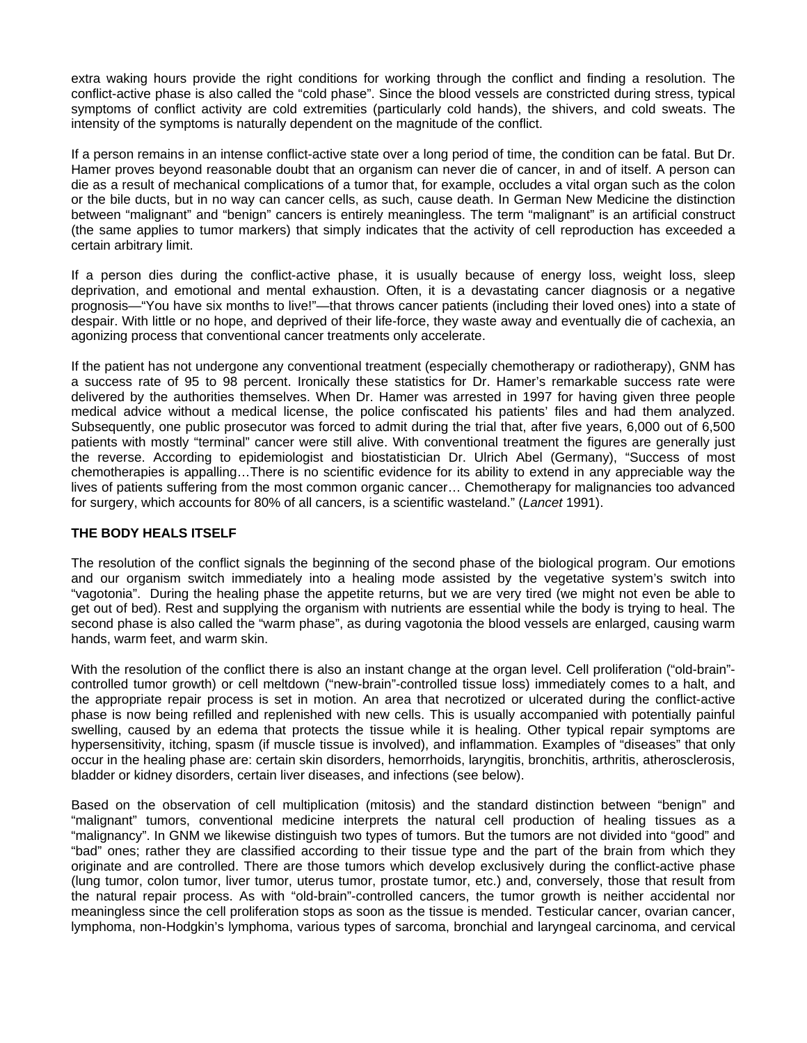extra waking hours provide the right conditions for working through the conflict and finding a resolution. The conflict-active phase is also called the "cold phase". Since the blood vessels are constricted during stress, typical symptoms of conflict activity are cold extremities (particularly cold hands), the shivers, and cold sweats. The intensity of the symptoms is naturally dependent on the magnitude of the conflict.

If a person remains in an intense conflict-active state over a long period of time, the condition can be fatal. But Dr. Hamer proves beyond reasonable doubt that an organism can never die of cancer, in and of itself. A person can die as a result of mechanical complications of a tumor that, for example, occludes a vital organ such as the colon or the bile ducts, but in no way can cancer cells, as such, cause death. In German New Medicine the distinction between "malignant" and "benign" cancers is entirely meaningless. The term "malignant" is an artificial construct (the same applies to tumor markers) that simply indicates that the activity of cell reproduction has exceeded a certain arbitrary limit.

If a person dies during the conflict-active phase, it is usually because of energy loss, weight loss, sleep deprivation, and emotional and mental exhaustion. Often, it is a devastating cancer diagnosis or a negative prognosis—"You have six months to live!"—that throws cancer patients (including their loved ones) into a state of despair. With little or no hope, and deprived of their life-force, they waste away and eventually die of cachexia, an agonizing process that conventional cancer treatments only accelerate.

If the patient has not undergone any conventional treatment (especially chemotherapy or radiotherapy), GNM has a success rate of 95 to 98 percent. Ironically these statistics for Dr. Hamer's remarkable success rate were delivered by the authorities themselves. When Dr. Hamer was arrested in 1997 for having given three people medical advice without a medical license, the police confiscated his patients' files and had them analyzed. Subsequently, one public prosecutor was forced to admit during the trial that, after five years, 6,000 out of 6,500 patients with mostly "terminal" cancer were still alive. With conventional treatment the figures are generally just the reverse. According to epidemiologist and biostatistician Dr. Ulrich Abel (Germany), "Success of most chemotherapies is appalling…There is no scientific evidence for its ability to extend in any appreciable way the lives of patients suffering from the most common organic cancer… Chemotherapy for malignancies too advanced for surgery, which accounts for 80% of all cancers, is a scientific wasteland." (*Lancet* 1991).

### **THE BODY HEALS ITSELF**

The resolution of the conflict signals the beginning of the second phase of the biological program. Our emotions and our organism switch immediately into a healing mode assisted by the vegetative system's switch into "vagotonia". During the healing phase the appetite returns, but we are very tired (we might not even be able to get out of bed). Rest and supplying the organism with nutrients are essential while the body is trying to heal. The second phase is also called the "warm phase", as during vagotonia the blood vessels are enlarged, causing warm hands, warm feet, and warm skin.

With the resolution of the conflict there is also an instant change at the organ level. Cell proliferation ("old-brain" controlled tumor growth) or cell meltdown ("new-brain"-controlled tissue loss) immediately comes to a halt, and the appropriate repair process is set in motion. An area that necrotized or ulcerated during the conflict-active phase is now being refilled and replenished with new cells. This is usually accompanied with potentially painful swelling, caused by an edema that protects the tissue while it is healing. Other typical repair symptoms are hypersensitivity, itching, spasm (if muscle tissue is involved), and inflammation. Examples of "diseases" that only occur in the healing phase are: certain skin disorders, hemorrhoids, laryngitis, bronchitis, arthritis, atherosclerosis, bladder or kidney disorders, certain liver diseases, and infections (see below).

Based on the observation of cell multiplication (mitosis) and the standard distinction between "benign" and "malignant" tumors, conventional medicine interprets the natural cell production of healing tissues as a "malignancy". In GNM we likewise distinguish two types of tumors. But the tumors are not divided into "good" and "bad" ones; rather they are classified according to their tissue type and the part of the brain from which they originate and are controlled. There are those tumors which develop exclusively during the conflict-active phase (lung tumor, colon tumor, liver tumor, uterus tumor, prostate tumor, etc.) and, conversely, those that result from the natural repair process. As with "old-brain"-controlled cancers, the tumor growth is neither accidental nor meaningless since the cell proliferation stops as soon as the tissue is mended. Testicular cancer, ovarian cancer, lymphoma, non-Hodgkin's lymphoma, various types of sarcoma, bronchial and laryngeal carcinoma, and cervical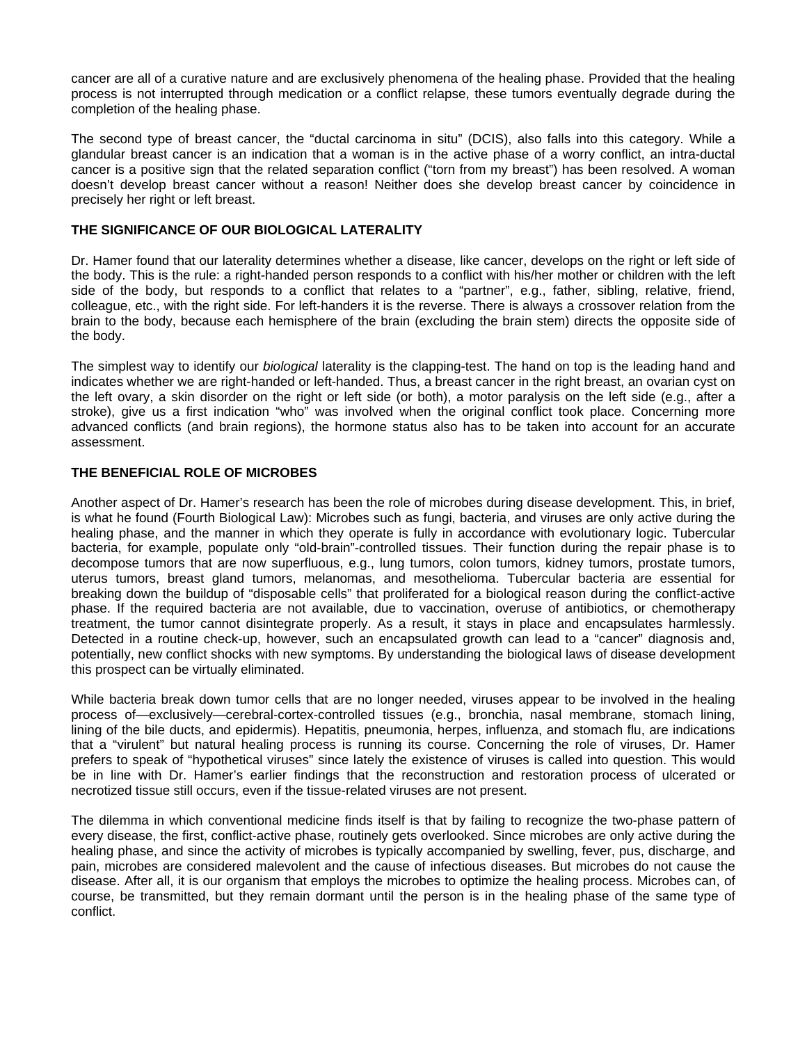cancer are all of a curative nature and are exclusively phenomena of the healing phase. Provided that the healing process is not interrupted through medication or a conflict relapse, these tumors eventually degrade during the completion of the healing phase.

The second type of breast cancer, the "ductal carcinoma in situ" (DCIS), also falls into this category. While a glandular breast cancer is an indication that a woman is in the active phase of a worry conflict, an intra-ductal cancer is a positive sign that the related separation conflict ("torn from my breast") has been resolved. A woman doesn't develop breast cancer without a reason! Neither does she develop breast cancer by coincidence in precisely her right or left breast.

## **THE SIGNIFICANCE OF OUR BIOLOGICAL LATERALITY**

Dr. Hamer found that our laterality determines whether a disease, like cancer, develops on the right or left side of the body. This is the rule: a right-handed person responds to a conflict with his/her mother or children with the left side of the body, but responds to a conflict that relates to a "partner", e.g., father, sibling, relative, friend, colleague, etc., with the right side. For left-handers it is the reverse. There is always a crossover relation from the brain to the body, because each hemisphere of the brain (excluding the brain stem) directs the opposite side of the body.

The simplest way to identify our *biological* laterality is the clapping-test. The hand on top is the leading hand and indicates whether we are right-handed or left-handed. Thus, a breast cancer in the right breast, an ovarian cyst on the left ovary, a skin disorder on the right or left side (or both), a motor paralysis on the left side (e.g., after a stroke), give us a first indication "who" was involved when the original conflict took place. Concerning more advanced conflicts (and brain regions), the hormone status also has to be taken into account for an accurate assessment.

## **THE BENEFICIAL ROLE OF MICROBES**

Another aspect of Dr. Hamer's research has been the role of microbes during disease development. This, in brief, is what he found (Fourth Biological Law): Microbes such as fungi, bacteria, and viruses are only active during the healing phase, and the manner in which they operate is fully in accordance with evolutionary logic. Tubercular bacteria, for example, populate only "old-brain"-controlled tissues. Their function during the repair phase is to decompose tumors that are now superfluous, e.g., lung tumors, colon tumors, kidney tumors, prostate tumors, uterus tumors, breast gland tumors, melanomas, and mesothelioma. Tubercular bacteria are essential for breaking down the buildup of "disposable cells" that proliferated for a biological reason during the conflict-active phase. If the required bacteria are not available, due to vaccination, overuse of antibiotics, or chemotherapy treatment, the tumor cannot disintegrate properly. As a result, it stays in place and encapsulates harmlessly. Detected in a routine check-up, however, such an encapsulated growth can lead to a "cancer" diagnosis and, potentially, new conflict shocks with new symptoms. By understanding the biological laws of disease development this prospect can be virtually eliminated.

While bacteria break down tumor cells that are no longer needed, viruses appear to be involved in the healing process of—exclusively—cerebral-cortex-controlled tissues (e.g., bronchia, nasal membrane, stomach lining, lining of the bile ducts, and epidermis). Hepatitis, pneumonia, herpes, influenza, and stomach flu, are indications that a "virulent" but natural healing process is running its course. Concerning the role of viruses, Dr. Hamer prefers to speak of "hypothetical viruses" since lately the existence of viruses is called into question. This would be in line with Dr. Hamer's earlier findings that the reconstruction and restoration process of ulcerated or necrotized tissue still occurs, even if the tissue-related viruses are not present.

The dilemma in which conventional medicine finds itself is that by failing to recognize the two-phase pattern of every disease, the first, conflict-active phase, routinely gets overlooked. Since microbes are only active during the healing phase, and since the activity of microbes is typically accompanied by swelling, fever, pus, discharge, and pain, microbes are considered malevolent and the cause of infectious diseases. But microbes do not cause the disease. After all, it is our organism that employs the microbes to optimize the healing process. Microbes can, of course, be transmitted, but they remain dormant until the person is in the healing phase of the same type of conflict.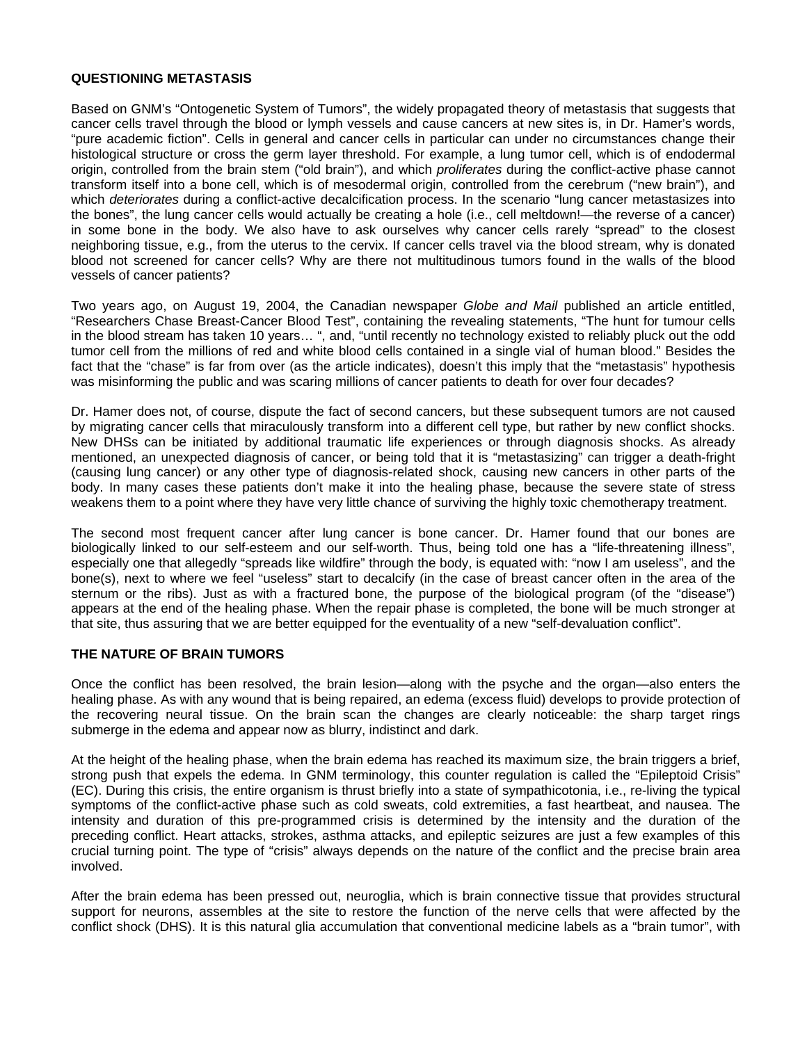## **QUESTIONING METASTASIS**

Based on GNM's "Ontogenetic System of Tumors", the widely propagated theory of metastasis that suggests that cancer cells travel through the blood or lymph vessels and cause cancers at new sites is, in Dr. Hamer's words, "pure academic fiction". Cells in general and cancer cells in particular can under no circumstances change their histological structure or cross the germ layer threshold. For example, a lung tumor cell, which is of endodermal origin, controlled from the brain stem ("old brain"), and which *proliferates* during the conflict-active phase cannot transform itself into a bone cell, which is of mesodermal origin, controlled from the cerebrum ("new brain"), and which *deteriorates* during a conflict-active decalcification process. In the scenario "lung cancer metastasizes into the bones", the lung cancer cells would actually be creating a hole (i.e., cell meltdown!—the reverse of a cancer) in some bone in the body. We also have to ask ourselves why cancer cells rarely "spread" to the closest neighboring tissue, e.g., from the uterus to the cervix. If cancer cells travel via the blood stream, why is donated blood not screened for cancer cells? Why are there not multitudinous tumors found in the walls of the blood vessels of cancer patients?

Two years ago, on August 19, 2004, the Canadian newspaper *Globe and Mail* published an article entitled, "Researchers Chase Breast-Cancer Blood Test", containing the revealing statements, "The hunt for tumour cells in the blood stream has taken 10 years… ", and, "until recently no technology existed to reliably pluck out the odd tumor cell from the millions of red and white blood cells contained in a single vial of human blood." Besides the fact that the "chase" is far from over (as the article indicates), doesn't this imply that the "metastasis" hypothesis was misinforming the public and was scaring millions of cancer patients to death for over four decades?

Dr. Hamer does not, of course, dispute the fact of second cancers, but these subsequent tumors are not caused by migrating cancer cells that miraculously transform into a different cell type, but rather by new conflict shocks. New DHSs can be initiated by additional traumatic life experiences or through diagnosis shocks. As already mentioned, an unexpected diagnosis of cancer, or being told that it is "metastasizing" can trigger a death-fright (causing lung cancer) or any other type of diagnosis-related shock, causing new cancers in other parts of the body. In many cases these patients don't make it into the healing phase, because the severe state of stress weakens them to a point where they have very little chance of surviving the highly toxic chemotherapy treatment.

The second most frequent cancer after lung cancer is bone cancer. Dr. Hamer found that our bones are biologically linked to our self-esteem and our self-worth. Thus, being told one has a "life-threatening illness", especially one that allegedly "spreads like wildfire" through the body, is equated with: "now I am useless", and the bone(s), next to where we feel "useless" start to decalcify (in the case of breast cancer often in the area of the sternum or the ribs). Just as with a fractured bone, the purpose of the biological program (of the "disease") appears at the end of the healing phase. When the repair phase is completed, the bone will be much stronger at that site, thus assuring that we are better equipped for the eventuality of a new "self-devaluation conflict".

### **THE NATURE OF BRAIN TUMORS**

Once the conflict has been resolved, the brain lesion—along with the psyche and the organ—also enters the healing phase. As with any wound that is being repaired, an edema (excess fluid) develops to provide protection of the recovering neural tissue. On the brain scan the changes are clearly noticeable: the sharp target rings submerge in the edema and appear now as blurry, indistinct and dark.

At the height of the healing phase, when the brain edema has reached its maximum size, the brain triggers a brief, strong push that expels the edema. In GNM terminology, this counter regulation is called the "Epileptoid Crisis" (EC). During this crisis, the entire organism is thrust briefly into a state of sympathicotonia, i.e., re-living the typical symptoms of the conflict-active phase such as cold sweats, cold extremities, a fast heartbeat, and nausea. The intensity and duration of this pre-programmed crisis is determined by the intensity and the duration of the preceding conflict. Heart attacks, strokes, asthma attacks, and epileptic seizures are just a few examples of this crucial turning point. The type of "crisis" always depends on the nature of the conflict and the precise brain area involved.

After the brain edema has been pressed out, neuroglia, which is brain connective tissue that provides structural support for neurons, assembles at the site to restore the function of the nerve cells that were affected by the conflict shock (DHS). It is this natural glia accumulation that conventional medicine labels as a "brain tumor", with